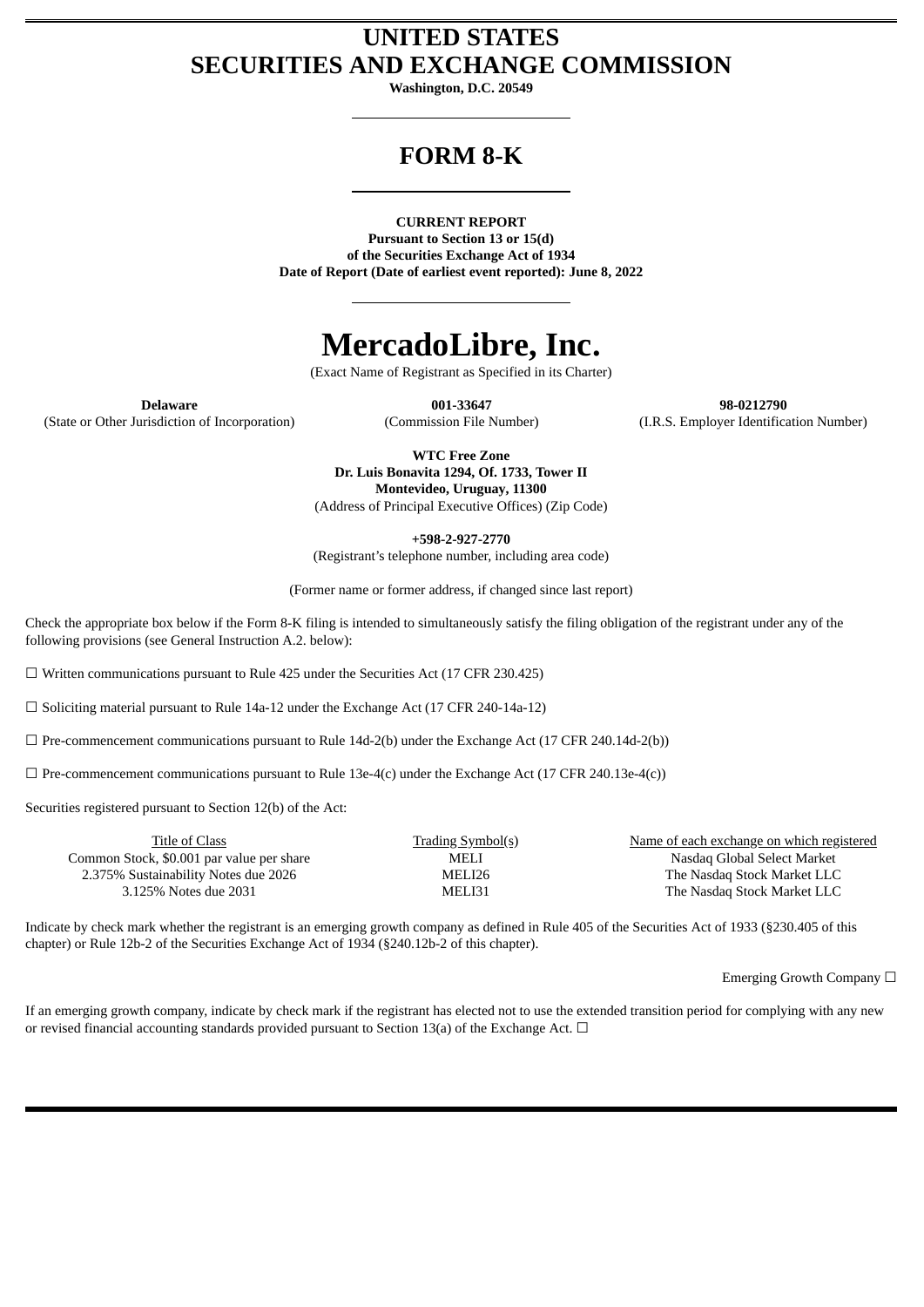### **UNITED STATES SECURITIES AND EXCHANGE COMMISSION**

**Washington, D.C. 20549**

## **FORM 8-K**

**CURRENT REPORT**

**Pursuant to Section 13 or 15(d) of the Securities Exchange Act of 1934 Date of Report (Date of earliest event reported): June 8, 2022**

# **MercadoLibre, Inc.**

(Exact Name of Registrant as Specified in its Charter)

(State or Other Jurisdiction of Incorporation) (Commission File Number) (I.R.S. Employer Identification Number)

**Delaware 001-33647 98-0212790**

**WTC Free Zone Dr. Luis Bonavita 1294, Of. 1733, Tower II Montevideo, Uruguay, 11300** (Address of Principal Executive Offices) (Zip Code)

**+598-2-927-2770** (Registrant's telephone number, including area code)

(Former name or former address, if changed since last report)

Check the appropriate box below if the Form 8-K filing is intended to simultaneously satisfy the filing obligation of the registrant under any of the following provisions (see General Instruction A.2. below):

 $\Box$  Written communications pursuant to Rule 425 under the Securities Act (17 CFR 230.425)

☐ Soliciting material pursuant to Rule 14a-12 under the Exchange Act (17 CFR 240-14a-12)

 $\Box$  Pre-commencement communications pursuant to Rule 14d-2(b) under the Exchange Act (17 CFR 240.14d-2(b))

 $\Box$  Pre-commencement communications pursuant to Rule 13e-4(c) under the Exchange Act (17 CFR 240.13e-4(c))

Securities registered pursuant to Section 12(b) of the Act:

| Title of Class                            | <b>Trading Symbol(s)</b> | Name of each exchange on which registered |
|-------------------------------------------|--------------------------|-------------------------------------------|
| Common Stock, \$0.001 par value per share | MELI                     | Nasdag Global Select Market               |
| 2.375% Sustainability Notes due 2026      | MELI26                   | The Nasdaq Stock Market LLC               |
| 3.125% Notes due 2031                     | MELI31                   | The Nasdaq Stock Market LLC               |
|                                           |                          |                                           |

Indicate by check mark whether the registrant is an emerging growth company as defined in Rule 405 of the Securities Act of 1933 (§230.405 of this chapter) or Rule 12b-2 of the Securities Exchange Act of 1934 (§240.12b-2 of this chapter).

Emerging Growth Company ☐

If an emerging growth company, indicate by check mark if the registrant has elected not to use the extended transition period for complying with any new or revised financial accounting standards provided pursuant to Section 13(a) of the Exchange Act.  $\Box$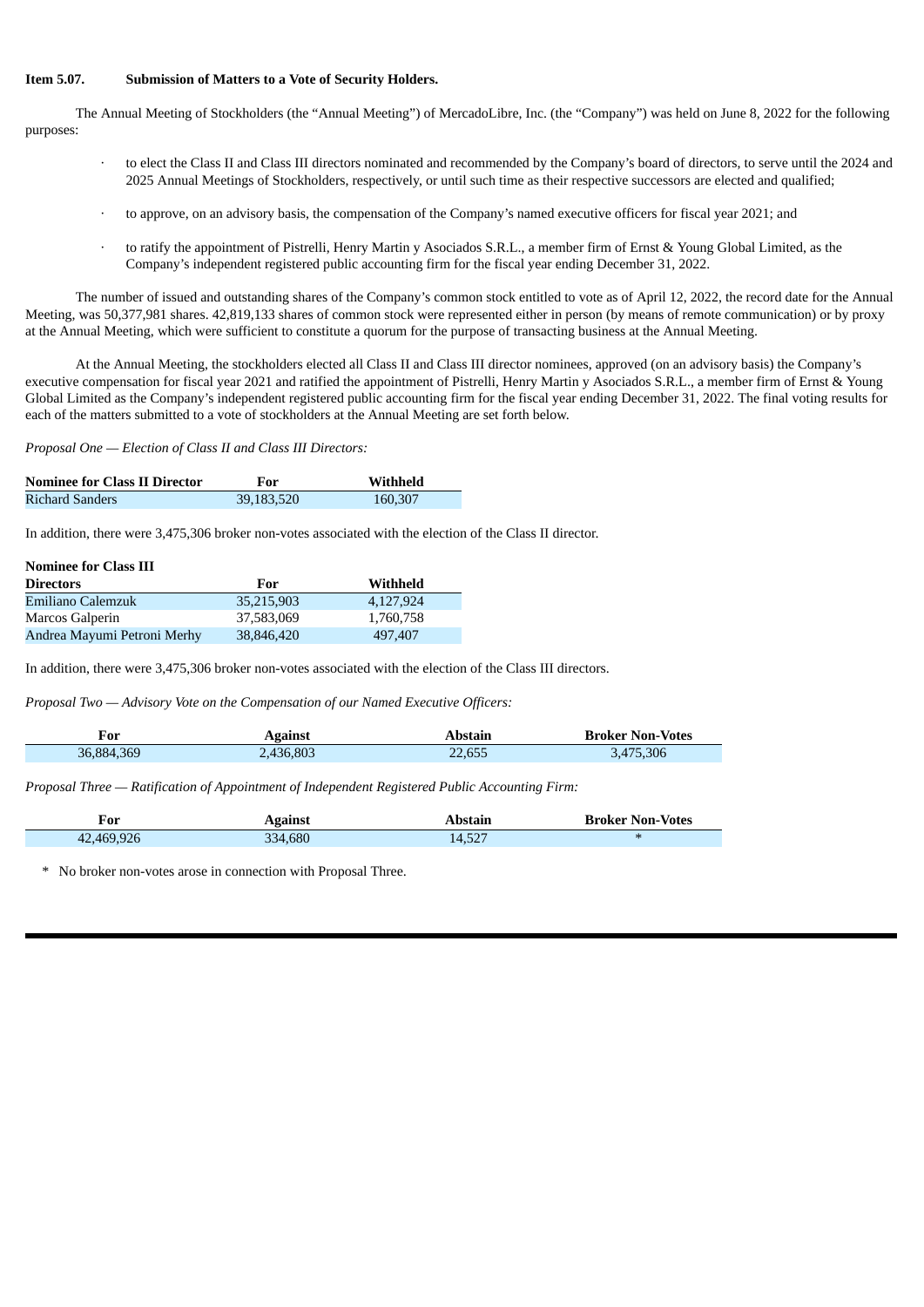#### **Item 5.07. Submission of Matters to a Vote of Security Holders.**

The Annual Meeting of Stockholders (the "Annual Meeting") of MercadoLibre, Inc. (the "Company") was held on June 8, 2022 for the following purposes:

- to elect the Class II and Class III directors nominated and recommended by the Company's board of directors, to serve until the 2024 and 2025 Annual Meetings of Stockholders, respectively, or until such time as their respective successors are elected and qualified;
- · to approve, on an advisory basis, the compensation of the Company's named executive officers for fiscal year 2021; and
- · to ratify the appointment of Pistrelli, Henry Martin y Asociados S.R.L., a member firm of Ernst & Young Global Limited, as the Company's independent registered public accounting firm for the fiscal year ending December 31, 2022.

The number of issued and outstanding shares of the Company's common stock entitled to vote as of April 12, 2022, the record date for the Annual Meeting, was 50,377,981 shares. 42,819,133 shares of common stock were represented either in person (by means of remote communication) or by proxy at the Annual Meeting, which were sufficient to constitute a quorum for the purpose of transacting business at the Annual Meeting.

At the Annual Meeting, the stockholders elected all Class II and Class III director nominees, approved (on an advisory basis) the Company's executive compensation for fiscal year 2021 and ratified the appointment of Pistrelli, Henry Martin y Asociados S.R.L., a member firm of Ernst & Young Global Limited as the Company's independent registered public accounting firm for the fiscal year ending December 31, 2022. The final voting results for each of the matters submitted to a vote of stockholders at the Annual Meeting are set forth below.

*Proposal One — Election of Class II and Class III Directors:*

| <b>Nominee for Class II Director</b> | For        | Withheld |
|--------------------------------------|------------|----------|
| Richard Sanders                      | 39,183,520 | 160,307  |

In addition, there were 3,475,306 broker non-votes associated with the election of the Class II director.

| <b>Nominee for Class III</b> |            |           |  |  |
|------------------------------|------------|-----------|--|--|
| <b>Directors</b>             | For        | Withheld  |  |  |
| Emiliano Calemzuk            | 35,215,903 | 4.127.924 |  |  |
| Marcos Galperin              | 37,583,069 | 1,760,758 |  |  |
| Andrea Mayumi Petroni Merhy  | 38,846,420 | 497,407   |  |  |

In addition, there were 3,475,306 broker non-votes associated with the election of the Class III directors.

*Proposal Two — Advisory Vote on the Compensation of our Named Executive Officers:*

| For        | <b>Against</b> | Abstain | <b>Broker Non-Votes</b> |
|------------|----------------|---------|-------------------------|
| 36,884,369 | 2,436,803      | 22,655  | 75.306<br>.475          |

*Proposal Three — Ratification of Appointment of Independent Registered Public Accounting Firm:*

| For        | <b>Against</b> | Abstain | <b>Broker Non-Votes</b>  |
|------------|----------------|---------|--------------------------|
| 42,469,926 | 334,680        | 14.527  | $\overline{\phantom{a}}$ |

No broker non-votes arose in connection with Proposal Three.